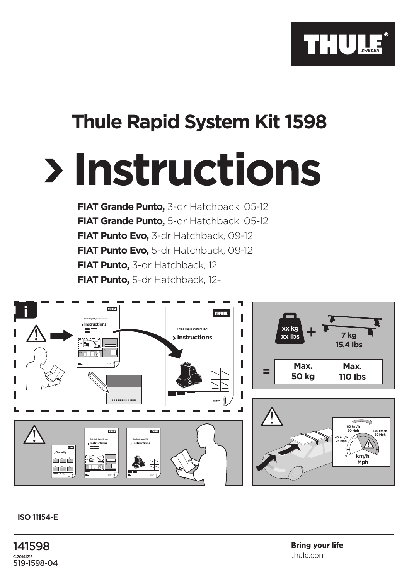

## **Thule Rapid System Kit 1598**

## **Instructions**

**FIAT Grande Punto,** 3-dr Hatchback, 05-12 **FIAT Grande Punto,** 5-dr Hatchback, 05-12 **FIAT Punto Evo,** 3-dr Hatchback, 09-12 **FIAT Punto Evo,** 5-dr Hatchback, 09-12 **FIAT Punto,** 3-dr Hatchback, 12– **FIAT Punto,** 5-dr Hatchback, 12–



## **ISO 11154-E**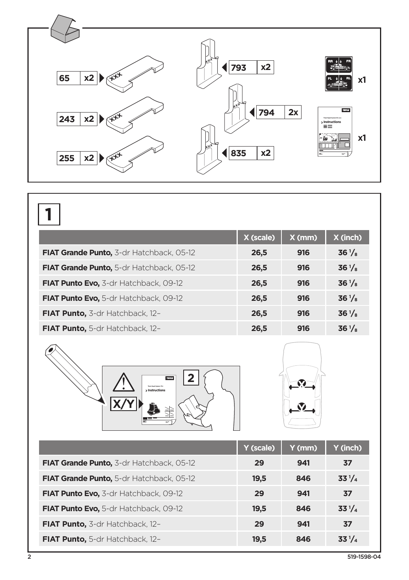

|                                              | X (scale) | $X$ (mm) | X (inch)        |
|----------------------------------------------|-----------|----------|-----------------|
| FIAT Grande Punto, 3-dr Hatchback, 05-12     | 26,5      | 916      | $36\frac{1}{8}$ |
| FIAT Grande Punto, 5-dr Hatchback, 05-12     | 26,5      | 916      | $36\frac{1}{8}$ |
| <b>FIAT Punto Evo, 3-dr Hatchback, 09-12</b> | 26,5      | 916      | $36\frac{1}{8}$ |
| FIAT Punto Evo, 5-dr Hatchback, 09-12        | 26,5      | 916      | $36\frac{1}{8}$ |
| FIAT Punto, 3-dr Hatchback, 12-              | 26,5      | 916      | $36\frac{1}{8}$ |
| FIAT Punto, 5-dr Hatchback, 12-              | 26,5      | 916      | $36\frac{1}{8}$ |





|                                          | Y (scale) | Y (mm) | Y (inch)   |
|------------------------------------------|-----------|--------|------------|
| FIAT Grande Punto, 3-dr Hatchback, 05-12 | 29        | 941    | 37         |
| FIAT Grande Punto, 5-dr Hatchback, 05-12 | 19,5      | 846    | $33^{1}/4$ |
| FIAT Punto Evo, 3-dr Hatchback, 09-12    | 29        | 941    | 37         |
| FIAT Punto Evo, 5-dr Hatchback, 09-12    | 19,5      | 846    | $33^{1}/4$ |
| FIAT Punto, 3-dr Hatchback, 12-          | 29        | 941    | 37         |
| <b>FIAT Punto, 5-dr Hatchback, 12-</b>   | 19,5      | 846    | $33^{1}/4$ |

0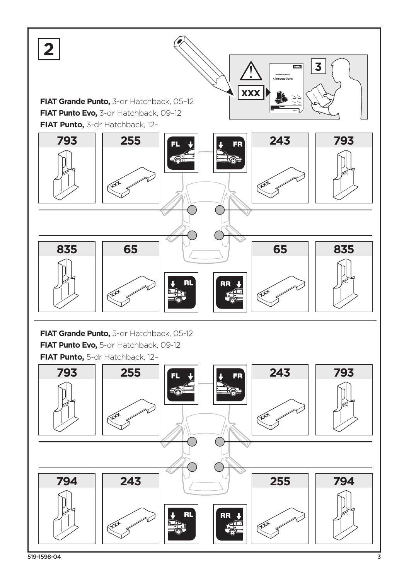